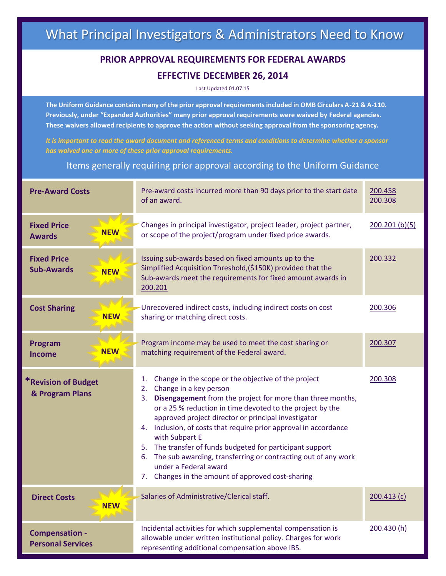# What Principal Investigators & Administrators Need to Know

# **PRIOR APPROVAL REQUIREMENTS FOR FEDERAL AWARDS EFFECTIVE DECEMBER 26, 2014**

Last Updated 01.07.15

**The Uniform Guidance contains many of the prior approval requirements included in OMB Circulars A-21 & A-110. Previously, under "Expanded Authorities" many prior approval requirements were waived by Federal agencies. These waivers allowed recipients to approve the action without seeking approval from the sponsoring agency.**

*It is important to read the award document and referenced terms and conditions to determine whether a sponsor has waived one or more of these prior approval requirements.*

Items generally requiring prior approval according to the Uniform Guidance

| <b>Pre-Award Costs</b>                                | Pre-award costs incurred more than 90 days prior to the start date<br>of an award.                                                                                                                                                                                                                                                                                                                                                                                                                                                                                                           | 200.458<br>200.308 |
|-------------------------------------------------------|----------------------------------------------------------------------------------------------------------------------------------------------------------------------------------------------------------------------------------------------------------------------------------------------------------------------------------------------------------------------------------------------------------------------------------------------------------------------------------------------------------------------------------------------------------------------------------------------|--------------------|
| <b>Fixed Price</b><br><b>NEW</b><br><b>Awards</b>     | Changes in principal investigator, project leader, project partner,<br>or scope of the project/program under fixed price awards.                                                                                                                                                                                                                                                                                                                                                                                                                                                             | 200.201 (b)(5)     |
| <b>Fixed Price</b><br><b>Sub-Awards</b><br><b>NEW</b> | Issuing sub-awards based on fixed amounts up to the<br>Simplified Acquisition Threshold, (\$150K) provided that the<br>Sub-awards meet the requirements for fixed amount awards in<br>200.201                                                                                                                                                                                                                                                                                                                                                                                                | 200.332            |
| <b>Cost Sharing</b><br><b>NEW</b>                     | Unrecovered indirect costs, including indirect costs on cost<br>sharing or matching direct costs.                                                                                                                                                                                                                                                                                                                                                                                                                                                                                            | 200.306            |
| Program<br><b>NEW</b><br><b>Income</b>                | Program income may be used to meet the cost sharing or<br>matching requirement of the Federal award.                                                                                                                                                                                                                                                                                                                                                                                                                                                                                         | 200.307            |
| *Revision of Budget<br>& Program Plans                | Change in the scope or the objective of the project<br>1.<br>Change in a key person<br>2.<br>Disengagement from the project for more than three months,<br>3.<br>or a 25 % reduction in time devoted to the project by the<br>approved project director or principal investigator<br>4. Inclusion, of costs that require prior approval in accordance<br>with Subpart E<br>5. The transfer of funds budgeted for participant support<br>The sub awarding, transferring or contracting out of any work<br>6.<br>under a Federal award<br>Changes in the amount of approved cost-sharing<br>7. | 200.308            |
| <b>Direct Costs</b><br><b>NEW</b>                     | Salaries of Administrative/Clerical staff.                                                                                                                                                                                                                                                                                                                                                                                                                                                                                                                                                   | 200.413(c)         |
| <b>Compensation -</b><br><b>Personal Services</b>     | Incidental activities for which supplemental compensation is<br>allowable under written institutional policy. Charges for work<br>representing additional compensation above IBS.                                                                                                                                                                                                                                                                                                                                                                                                            | 200.430 (h)        |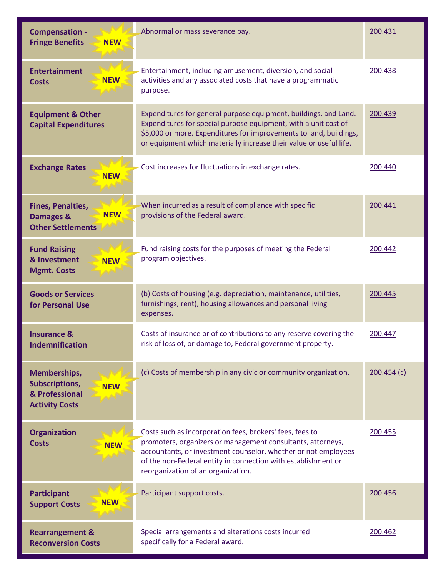| <b>Compensation -</b><br><b>NEW</b><br><b>Fringe Benefits</b>                                         | Abnormal or mass severance pay.                                                                                                                                                                                                                                                                  | 200.431    |
|-------------------------------------------------------------------------------------------------------|--------------------------------------------------------------------------------------------------------------------------------------------------------------------------------------------------------------------------------------------------------------------------------------------------|------------|
| <b>Entertainment</b><br><b>NEW</b><br><b>Costs</b>                                                    | Entertainment, including amusement, diversion, and social<br>activities and any associated costs that have a programmatic<br>purpose.                                                                                                                                                            | 200.438    |
| <b>Equipment &amp; Other</b><br><b>Capital Expenditures</b>                                           | Expenditures for general purpose equipment, buildings, and Land.<br>Expenditures for special purpose equipment, with a unit cost of<br>\$5,000 or more. Expenditures for improvements to land, buildings,<br>or equipment which materially increase their value or useful life.                  | 200.439    |
| <b>Exchange Rates</b><br><b>NEW</b>                                                                   | Cost increases for fluctuations in exchange rates.                                                                                                                                                                                                                                               | 200.440    |
| <b>Fines, Penalties,</b><br><b>NEW</b><br>Damages &<br><b>Other Settlements</b>                       | When incurred as a result of compliance with specific<br>provisions of the Federal award.                                                                                                                                                                                                        | 200.441    |
| <b>Fund Raising</b><br>& Investment<br><b>NEW</b><br><b>Mgmt. Costs</b>                               | Fund raising costs for the purposes of meeting the Federal<br>program objectives.                                                                                                                                                                                                                | 200.442    |
| <b>Goods or Services</b><br>for Personal Use                                                          | (b) Costs of housing (e.g. depreciation, maintenance, utilities,<br>furnishings, rent), housing allowances and personal living<br>expenses.                                                                                                                                                      | 200.445    |
| <b>Insurance &amp;</b><br><b>Indemnification</b>                                                      | Costs of insurance or of contributions to any reserve covering the<br>risk of loss of, or damage to, Federal government property.                                                                                                                                                                | 200.447    |
| <b>Memberships,</b><br><b>Subscriptions,</b><br><b>NEW</b><br>& Professional<br><b>Activity Costs</b> | (c) Costs of membership in any civic or community organization.                                                                                                                                                                                                                                  | 200.454(c) |
| <b>Organization</b><br><b>Costs</b><br><b>NEW</b>                                                     | Costs such as incorporation fees, brokers' fees, fees to<br>promoters, organizers or management consultants, attorneys,<br>accountants, or investment counselor, whether or not employees<br>of the non-Federal entity in connection with establishment or<br>reorganization of an organization. | 200.455    |
| <b>Participant</b><br><b>NEW</b><br><b>Support Costs</b>                                              | Participant support costs.                                                                                                                                                                                                                                                                       | 200.456    |
| <b>Rearrangement &amp;</b><br><b>Reconversion Costs</b>                                               | Special arrangements and alterations costs incurred<br>specifically for a Federal award.                                                                                                                                                                                                         | 200.462    |